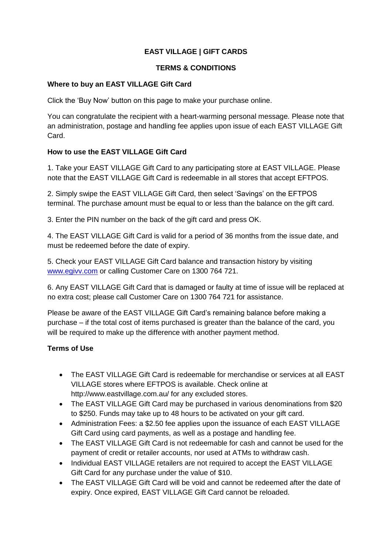# **EAST VILLAGE | GIFT CARDS**

### **TERMS & CONDITIONS**

#### **Where to buy an EAST VILLAGE Gift Card**

Click the 'Buy Now' button on this page to make your purchase online.

You can congratulate the recipient with a heart-warming personal message. Please note that an administration, postage and handling fee applies upon issue of each EAST VILLAGE Gift Card.

## **How to use the EAST VILLAGE Gift Card**

1. Take your EAST VILLAGE Gift Card to any participating store at EAST VILLAGE. Please note that the EAST VILLAGE Gift Card is redeemable in all stores that accept EFTPOS.

2. Simply swipe the EAST VILLAGE Gift Card, then select 'Savings' on the EFTPOS terminal. The purchase amount must be equal to or less than the balance on the gift card.

3. Enter the PIN number on the back of the gift card and press OK.

4. The EAST VILLAGE Gift Card is valid for a period of 36 months from the issue date, and must be redeemed before the date of expiry.

5. Check your EAST VILLAGE Gift Card balance and transaction history by visiting [www.egivv.com](http://www.egivv.com/) or calling Customer Care on 1300 764 721.

6. Any EAST VILLAGE Gift Card that is damaged or faulty at time of issue will be replaced at no extra cost; please call Customer Care on 1300 764 721 for assistance.

Please be aware of the EAST VILLAGE Gift Card's remaining balance before making a purchase – if the total cost of items purchased is greater than the balance of the card, you will be required to make up the difference with another payment method.

## **Terms of Use**

- The EAST VILLAGE Gift Card is redeemable for merchandise or services at all EAST VILLAGE stores where EFTPOS is available. Check online at http://www.eastvillage.com.au/ for any excluded stores.
- The EAST VILLAGE Gift Card may be purchased in various denominations from \$20 to \$250. Funds may take up to 48 hours to be activated on your gift card.
- Administration Fees: a \$2.50 fee applies upon the issuance of each EAST VILLAGE Gift Card using card payments, as well as a postage and handling fee.
- The EAST VILLAGE Gift Card is not redeemable for cash and cannot be used for the payment of credit or retailer accounts, nor used at ATMs to withdraw cash.
- Individual EAST VILLAGE retailers are not required to accept the EAST VILLAGE Gift Card for any purchase under the value of \$10.
- The EAST VILLAGE Gift Card will be void and cannot be redeemed after the date of expiry. Once expired, EAST VILLAGE Gift Card cannot be reloaded.